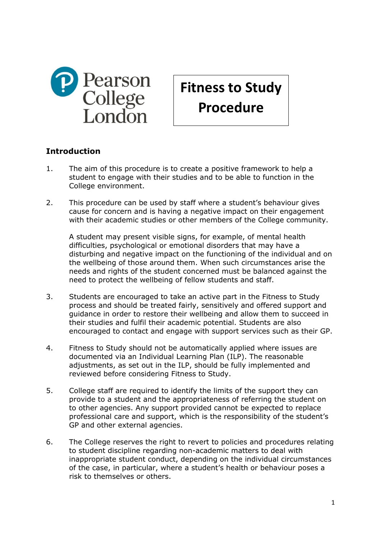

# **Fitness to Study Procedure**

## **Introduction**

- 1. The aim of this procedure is to create a positive framework to help a student to engage with their studies and to be able to function in the College environment.
- 2. This procedure can be used by staff where a student's behaviour gives cause for concern and is having a negative impact on their engagement with their academic studies or other members of the College community.

A student may present visible signs, for example, of mental health difficulties, psychological or emotional disorders that may have a disturbing and negative impact on the functioning of the individual and on the wellbeing of those around them. When such circumstances arise the needs and rights of the student concerned must be balanced against the need to protect the wellbeing of fellow students and staff.

- 3. Students are encouraged to take an active part in the Fitness to Study process and should be treated fairly, sensitively and offered support and guidance in order to restore their wellbeing and allow them to succeed in their studies and fulfil their academic potential. Students are also encouraged to contact and engage with support services such as their GP.
- 4. Fitness to Study should not be automatically applied where issues are documented via an Individual Learning Plan (ILP). The reasonable adjustments, as set out in the ILP, should be fully implemented and reviewed before considering Fitness to Study.
- 5. College staff are required to identify the limits of the support they can provide to a student and the appropriateness of referring the student on to other agencies. Any support provided cannot be expected to replace professional care and support, which is the responsibility of the student's GP and other external agencies.
- 6. The College reserves the right to revert to policies and procedures relating to student discipline regarding non-academic matters to deal with inappropriate student conduct, depending on the individual circumstances of the case, in particular, where a student's health or behaviour poses a risk to themselves or others.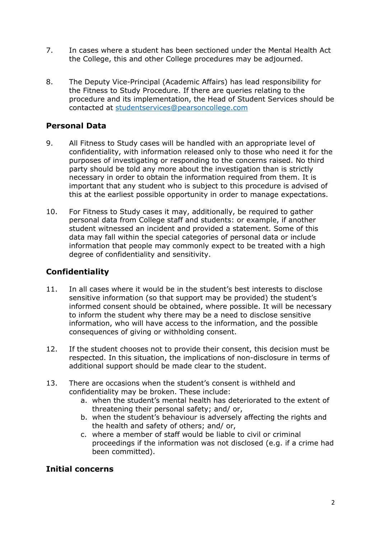- 7. In cases where a student has been sectioned under the Mental Health Act the College, this and other College procedures may be adjourned.
- 8. The Deputy Vice-Principal (Academic Affairs) has lead responsibility for the Fitness to Study Procedure. If there are queries relating to the procedure and its implementation, the Head of Student Services should be contacted at [studentservices@pearsoncollege.com](mailto:studentservices@pearsoncollege.com)

## **Personal Data**

- 9. All Fitness to Study cases will be handled with an appropriate level of confidentiality, with information released only to those who need it for the purposes of investigating or responding to the concerns raised. No third party should be told any more about the investigation than is strictly necessary in order to obtain the information required from them. It is important that any student who is subject to this procedure is advised of this at the earliest possible opportunity in order to manage expectations.
- 10. For Fitness to Study cases it may, additionally, be required to gather personal data from College staff and students: or example, if another student witnessed an incident and provided a statement. Some of this data may fall within the special categories of personal data or include information that people may commonly expect to be treated with a high degree of confidentiality and sensitivity.

# **Confidentiality**

- 11. In all cases where it would be in the student's best interests to disclose sensitive information (so that support may be provided) the student's informed consent should be obtained, where possible. It will be necessary to inform the student why there may be a need to disclose sensitive information, who will have access to the information, and the possible consequences of giving or withholding consent.
- 12. If the student chooses not to provide their consent, this decision must be respected. In this situation, the implications of non-disclosure in terms of additional support should be made clear to the student.
- 13. There are occasions when the student's consent is withheld and confidentiality may be broken. These include:
	- a. when the student's mental health has deteriorated to the extent of threatening their personal safety; and/ or,
	- b. when the student's behaviour is adversely affecting the rights and the health and safety of others; and/ or,
	- c. where a member of staff would be liable to civil or criminal proceedings if the information was not disclosed (e.g. if a crime had been committed).

#### **Initial concerns**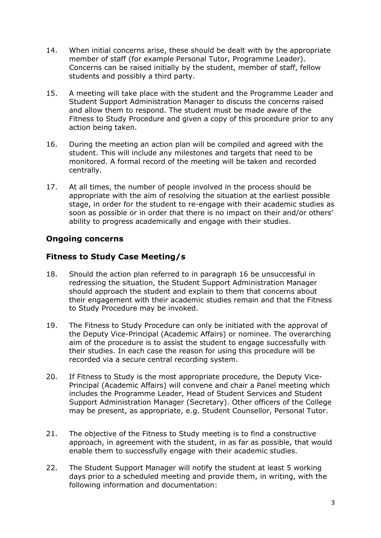- 14. When initial concerns arise, these should be dealt with by the appropriate member of staff (for example Personal Tutor, Programme Leader). Concerns can be raised initially by the student, member of staff, fellow students and possibly a third party.
- 15. A meeting will take place with the student and the Programme Leader and Student Support Administration Manager to discuss the concerns raised and allow them to respond. The student must be made aware of the Fitness to Study Procedure and given a copy of this procedure prior to any action being taken.
- 16. During the meeting an action plan will be compiled and agreed with the student. This will include any milestones and targets that need to be monitored. A formal record of the meeting will be taken and recorded centrally.
- 17. At all times, the number of people involved in the process should be appropriate with the aim of resolving the situation at the earliest possible stage, in order for the student to re-engage with their academic studies as soon as possible or in order that there is no impact on their and/or others' ability to progress academically and engage with their studies.

## **Ongoing concerns**

## **Fitness to Study Case Meeting/s**

- 18. Should the action plan referred to in paragraph 16 be unsuccessful in redressing the situation, the Student Support Administration Manager should approach the student and explain to them that concerns about their engagement with their academic studies remain and that the Fitness to Study Procedure may be invoked.
- 19. The Fitness to Study Procedure can only be initiated with the approval of the Deputy Vice-Principal (Academic Affairs) or nominee. The overarching aim of the procedure is to assist the student to engage successfully with their studies. In each case the reason for using this procedure will be recorded via a secure central recording system.
- 20. If Fitness to Study is the most appropriate procedure, the Deputy Vice-Principal (Academic Affairs) will convene and chair a Panel meeting which includes the Programme Leader, Head of Student Services and Student Support Administration Manager (Secretary). Other officers of the College may be present, as appropriate, e.g. Student Counsellor, Personal Tutor.
- 21. The objective of the Fitness to Study meeting is to find a constructive approach, in agreement with the student, in as far as possible, that would enable them to successfully engage with their academic studies.
- 22. The Student Support Manager will notify the student at least 5 working days prior to a scheduled meeting and provide them, in writing, with the following information and documentation: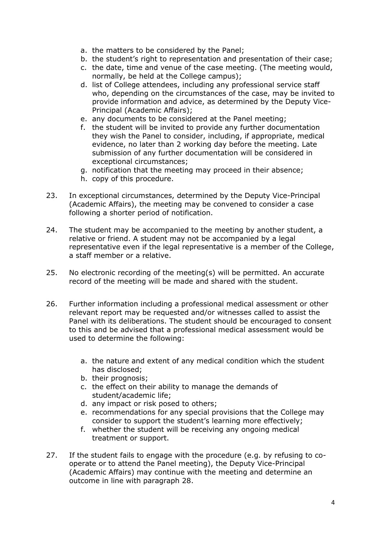- a. the matters to be considered by the Panel;
- b. the student's right to representation and presentation of their case;
- c. the date, time and venue of the case meeting. (The meeting would, normally, be held at the College campus);
- d. list of College attendees, including any professional service staff who, depending on the circumstances of the case, may be invited to provide information and advice, as determined by the Deputy Vice-Principal (Academic Affairs);
- e. any documents to be considered at the Panel meeting;
- f. the student will be invited to provide any further documentation they wish the Panel to consider, including, if appropriate, medical evidence, no later than 2 working day before the meeting. Late submission of any further documentation will be considered in exceptional circumstances;
- g. notification that the meeting may proceed in their absence;
- h. copy of this procedure.
- 23. In exceptional circumstances, determined by the Deputy Vice-Principal (Academic Affairs), the meeting may be convened to consider a case following a shorter period of notification.
- 24. The student may be accompanied to the meeting by another student, a relative or friend. A student may not be accompanied by a legal representative even if the legal representative is a member of the College, a staff member or a relative.
- 25. No electronic recording of the meeting(s) will be permitted. An accurate record of the meeting will be made and shared with the student.
- 26. Further information including a professional medical assessment or other relevant report may be requested and/or witnesses called to assist the Panel with its deliberations. The student should be encouraged to consent to this and be advised that a professional medical assessment would be used to determine the following:
	- a. the nature and extent of any medical condition which the student has disclosed;
	- b. their prognosis;
	- c. the effect on their ability to manage the demands of student/academic life;
	- d. any impact or risk posed to others;
	- e. recommendations for any special provisions that the College may consider to support the student's learning more effectively;
	- f. whether the student will be receiving any ongoing medical treatment or support.
- 27. If the student fails to engage with the procedure (e.g. by refusing to cooperate or to attend the Panel meeting), the Deputy Vice-Principal (Academic Affairs) may continue with the meeting and determine an outcome in line with paragraph 28.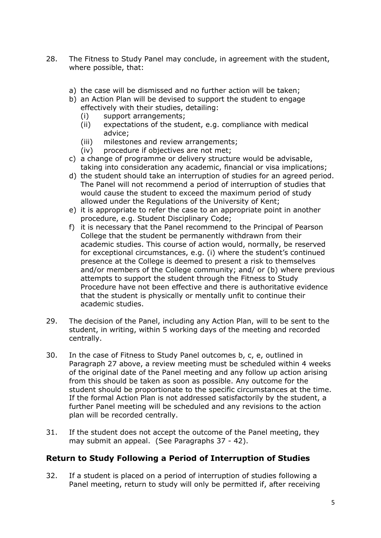- 28. The Fitness to Study Panel may conclude, in agreement with the student, where possible, that:
	- a) the case will be dismissed and no further action will be taken;
	- b) an Action Plan will be devised to support the student to engage effectively with their studies, detailing:
		- (i) support arrangements;
		- (ii) expectations of the student, e.g. compliance with medical advice;
		- (iii) milestones and review arrangements;
		- (iv) procedure if objectives are not met;
	- c) a change of programme or delivery structure would be advisable, taking into consideration any academic, financial or visa implications;
	- d) the student should take an interruption of studies for an agreed period. The Panel will not recommend a period of interruption of studies that would cause the student to exceed the maximum period of study allowed under the Regulations of the University of Kent;
	- e) it is appropriate to refer the case to an appropriate point in another procedure, e.g. Student Disciplinary Code;
	- f) it is necessary that the Panel recommend to the Principal of Pearson College that the student be permanently withdrawn from their academic studies. This course of action would, normally, be reserved for exceptional circumstances, e.g. (i) where the student's continued presence at the College is deemed to present a risk to themselves and/or members of the College community; and/ or (b) where previous attempts to support the student through the Fitness to Study Procedure have not been effective and there is authoritative evidence that the student is physically or mentally unfit to continue their academic studies.
- 29. The decision of the Panel, including any Action Plan, will to be sent to the student, in writing, within 5 working days of the meeting and recorded centrally.
- 30. In the case of Fitness to Study Panel outcomes b, c, e, outlined in Paragraph 27 above, a review meeting must be scheduled within 4 weeks of the original date of the Panel meeting and any follow up action arising from this should be taken as soon as possible. Any outcome for the student should be proportionate to the specific circumstances at the time. If the formal Action Plan is not addressed satisfactorily by the student, a further Panel meeting will be scheduled and any revisions to the action plan will be recorded centrally.
- 31. If the student does not accept the outcome of the Panel meeting, they may submit an appeal. (See Paragraphs 37 - 42).

#### **Return to Study Following a Period of Interruption of Studies**

32. If a student is placed on a period of interruption of studies following a Panel meeting, return to study will only be permitted if, after receiving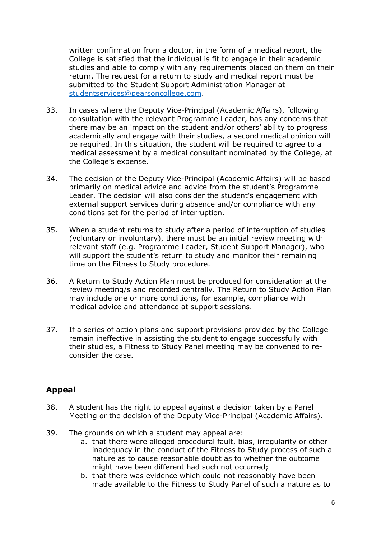written confirmation from a doctor, in the form of a medical report, the College is satisfied that the individual is fit to engage in their academic studies and able to comply with any requirements placed on them on their return. The request for a return to study and medical report must be submitted to the Student Support Administration Manager at [studentservices@pearsoncollege.com.](mailto:studentservices@pearsoncollege.com)

- 33. In cases where the Deputy Vice-Principal (Academic Affairs), following consultation with the relevant Programme Leader, has any concerns that there may be an impact on the student and/or others' ability to progress academically and engage with their studies, a second medical opinion will be required. In this situation, the student will be required to agree to a medical assessment by a medical consultant nominated by the College, at the College's expense.
- 34. The decision of the Deputy Vice-Principal (Academic Affairs) will be based primarily on medical advice and advice from the student's Programme Leader. The decision will also consider the student's engagement with external support services during absence and/or compliance with any conditions set for the period of interruption.
- 35. When a student returns to study after a period of interruption of studies (voluntary or involuntary), there must be an initial review meeting with relevant staff (e.g. Programme Leader, Student Support Manager), who will support the student's return to study and monitor their remaining time on the Fitness to Study procedure.
- 36. A Return to Study Action Plan must be produced for consideration at the review meeting/s and recorded centrally. The Return to Study Action Plan may include one or more conditions, for example, compliance with medical advice and attendance at support sessions.
- 37. If a series of action plans and support provisions provided by the College remain ineffective in assisting the student to engage successfully with their studies, a Fitness to Study Panel meeting may be convened to reconsider the case.

#### **Appeal**

- 38. A student has the right to appeal against a decision taken by a Panel Meeting or the decision of the Deputy Vice-Principal (Academic Affairs).
- 39. The grounds on which a student may appeal are:
	- a. that there were alleged procedural fault, bias, irregularity or other inadequacy in the conduct of the Fitness to Study process of such a nature as to cause reasonable doubt as to whether the outcome might have been different had such not occurred;
	- b. that there was evidence which could not reasonably have been made available to the Fitness to Study Panel of such a nature as to